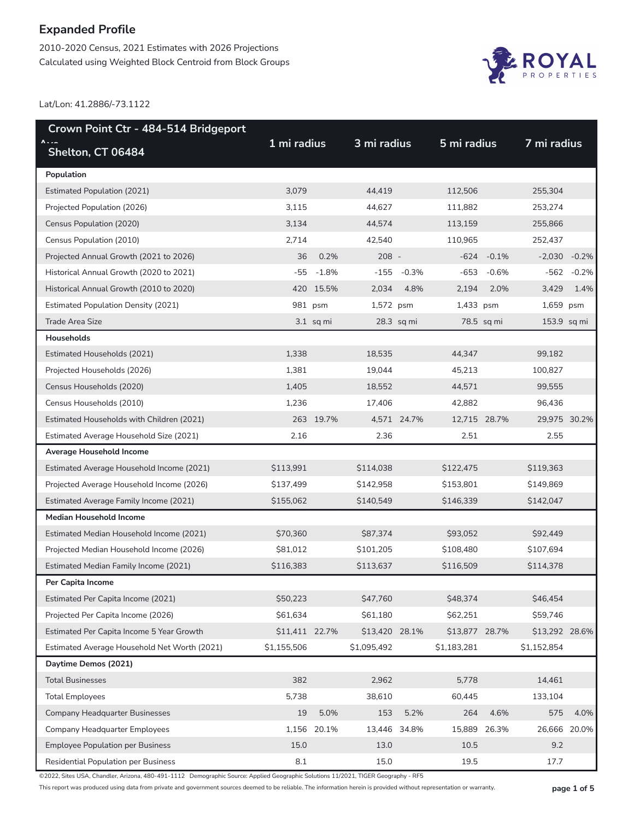2010-2020 Census, 2021 Estimates with 2026 Projections Calculated using Weighted Block Centroid from Block Groups



Lat/Lon: 41.2886/-73.1122

| Crown Point Ctr - 484-514 Bridgeport         |                |             |                |              |                |              |                |              |
|----------------------------------------------|----------------|-------------|----------------|--------------|----------------|--------------|----------------|--------------|
| <b>A</b><br>Shelton, CT 06484                | 1 mi radius    |             | 3 mi radius    |              | 5 mi radius    |              | 7 mi radius    |              |
| Population                                   |                |             |                |              |                |              |                |              |
| <b>Estimated Population (2021)</b>           | 3,079          |             | 44,419         |              | 112,506        |              | 255,304        |              |
| Projected Population (2026)                  | 3,115          |             | 44,627         |              | 111,882        |              | 253,274        |              |
| Census Population (2020)                     | 3,134          |             | 44,574         |              | 113,159        |              | 255,866        |              |
| Census Population (2010)                     | 2,714          |             | 42,540         |              | 110,965        |              | 252,437        |              |
| Projected Annual Growth (2021 to 2026)       | 36             | 0.2%        | $208 -$        |              | $-624$         | $-0.1%$      | $-2,030$       | $-0.2%$      |
| Historical Annual Growth (2020 to 2021)      | -55            | $-1.8%$     | -155           | -0.3%        | $-653$         | $-0.6%$      | -562           | $-0.2%$      |
| Historical Annual Growth (2010 to 2020)      |                | 420 15.5%   | 2,034          | 4.8%         | 2,194          | 2.0%         | 3,429          | 1.4%         |
| <b>Estimated Population Density (2021)</b>   |                | 981 psm     | 1,572 psm      |              | 1,433 psm      |              | 1,659 psm      |              |
| <b>Trade Area Size</b>                       |                | $3.1$ sq mi |                | $28.3$ sq mi |                | 78.5 sq mi   | $153.9$ sq mi  |              |
| Households                                   |                |             |                |              |                |              |                |              |
| Estimated Households (2021)                  | 1,338          |             | 18,535         |              | 44,347         |              | 99,182         |              |
| Projected Households (2026)                  | 1,381          |             | 19,044         |              | 45,213         |              | 100,827        |              |
| Census Households (2020)                     | 1,405          |             | 18,552         |              | 44,571         |              | 99,555         |              |
| Census Households (2010)                     | 1,236          |             | 17,406         |              | 42,882         |              | 96,436         |              |
| Estimated Households with Children (2021)    |                | 263 19.7%   |                | 4,571 24.7%  | 12,715 28.7%   |              | 29,975 30.2%   |              |
| Estimated Average Household Size (2021)      | 2.16           |             | 2.36           |              | 2.51           |              | 2.55           |              |
| Average Household Income                     |                |             |                |              |                |              |                |              |
| Estimated Average Household Income (2021)    | \$113,991      |             | \$114,038      |              | \$122,475      |              | \$119,363      |              |
| Projected Average Household Income (2026)    | \$137,499      |             | \$142,958      |              | \$153,801      |              | \$149,869      |              |
| Estimated Average Family Income (2021)       | \$155,062      |             | \$140,549      |              | \$146,339      |              | \$142,047      |              |
| <b>Median Household Income</b>               |                |             |                |              |                |              |                |              |
| Estimated Median Household Income (2021)     | \$70,360       |             | \$87,374       |              | \$93,052       |              | \$92,449       |              |
| Projected Median Household Income (2026)     | \$81,012       |             | \$101,205      |              | \$108,480      |              | \$107,694      |              |
| Estimated Median Family Income (2021)        | \$116,383      |             | \$113,637      |              | \$116,509      |              | \$114,378      |              |
| Per Capita Income                            |                |             |                |              |                |              |                |              |
| Estimated Per Capita Income (2021)           | \$50,223       |             | \$47,760       |              | \$48,374       |              | \$46,454       |              |
| Projected Per Capita Income (2026)           | \$61,634       |             | \$61,180       |              | \$62,251       |              | \$59,746       |              |
| Estimated Per Capita Income 5 Year Growth    | \$11,411 22.7% |             | \$13,420 28.1% |              | \$13,877 28.7% |              | \$13,292 28.6% |              |
| Estimated Average Household Net Worth (2021) | \$1,155,506    |             | \$1,095,492    |              | \$1,183,281    |              | \$1,152,854    |              |
| Daytime Demos (2021)                         |                |             |                |              |                |              |                |              |
| <b>Total Businesses</b>                      | 382            |             | 2,962          |              | 5,778          |              | 14,461         |              |
| <b>Total Employees</b>                       | 5,738          |             | 38,610         |              | 60,445         |              | 133,104        |              |
| <b>Company Headquarter Businesses</b>        | 19             | 5.0%        | 153            | 5.2%         | 264            | 4.6%         | 575            | 4.0%         |
| Company Headquarter Employees                | 1,156          | 20.1%       |                | 13,446 34.8% |                | 15,889 26.3% |                | 26,666 20.0% |
| <b>Employee Population per Business</b>      | 15.0           |             | 13.0           |              | 10.5           |              | 9.2            |              |
| <b>Residential Population per Business</b>   | 8.1            |             | 15.0           |              | 19.5           |              | 17.7           |              |

©2022, Sites USA, Chandler, Arizona, 480-491-1112 Demographic Source: Applied Geographic Solutions 11/2021, TIGER Geography - RF5

This report was produced using data from private and government sources deemed to be reliable. The information herein is provided without representation or warranty. **page 1 of 5**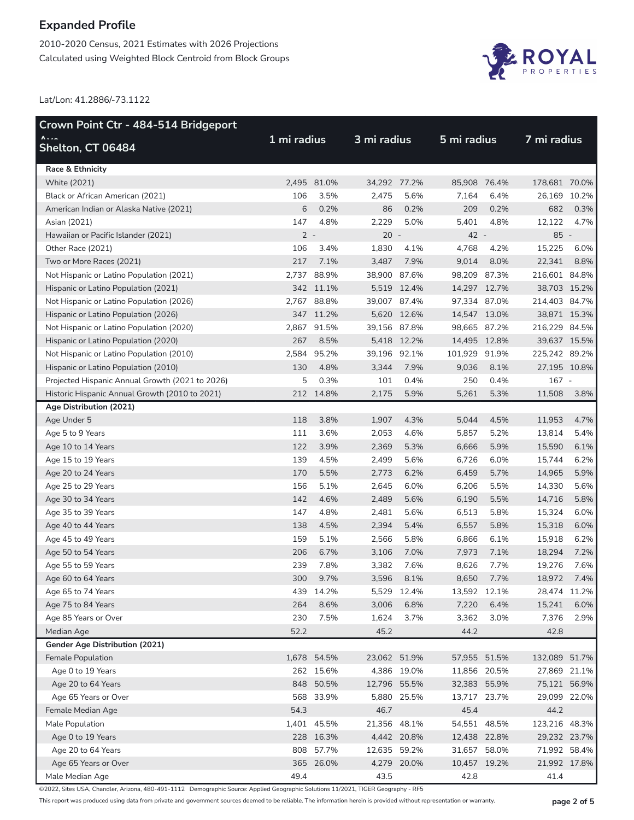2010-2020 Census, 2021 Estimates with 2026 Projections Calculated using Weighted Block Centroid from Block Groups



Lat/Lon: 41.2886/-73.1122

| Crown Point Ctr - 484-514 Bridgeport            |             |             |              |             |               |      |               |      |
|-------------------------------------------------|-------------|-------------|--------------|-------------|---------------|------|---------------|------|
| $\Lambda$<br>Shelton, CT 06484                  | 1 mi radius |             | 3 mi radius  |             | 5 mi radius   |      | 7 mi radius   |      |
| <b>Race &amp; Ethnicity</b>                     |             |             |              |             |               |      |               |      |
| White (2021)                                    | 2,495       | 81.0%       | 34,292 77.2% |             | 85,908 76.4%  |      | 178,681 70.0% |      |
| Black or African American (2021)                | 106         | 3.5%        | 2,475        | 5.6%        | 7,164         | 6.4% | 26,169 10.2%  |      |
| American Indian or Alaska Native (2021)         | 6           | 0.2%        | 86           | 0.2%        | 209           | 0.2% | 682           | 0.3% |
| Asian (2021)                                    | 147         | 4.8%        | 2,229        | 5.0%        | 5,401         | 4.8% | 12,122        | 4.7% |
| Hawaiian or Pacific Islander (2021)             | $2 -$       |             | $20 -$       |             | 42 -          |      | $85 -$        |      |
| Other Race (2021)                               | 106         | 3.4%        | 1,830        | 4.1%        | 4,768         | 4.2% | 15,225        | 6.0% |
| Two or More Races (2021)                        | 217         | 7.1%        | 3,487        | 7.9%        | 9,014         | 8.0% | 22,341        | 8.8% |
| Not Hispanic or Latino Population (2021)        | 2,737       | 88.9%       | 38,900 87.6% |             | 98,209 87.3%  |      | 216,601 84.8% |      |
| Hispanic or Latino Population (2021)            | 342         | 11.1%       |              | 5,519 12.4% | 14,297 12.7%  |      | 38,703 15.2%  |      |
| Not Hispanic or Latino Population (2026)        | 2,767       | 88.8%       | 39,007 87.4% |             | 97,334 87.0%  |      | 214,403 84.7% |      |
| Hispanic or Latino Population (2026)            |             | 347 11.2%   |              | 5,620 12.6% | 14,547 13.0%  |      | 38,871 15.3%  |      |
| Not Hispanic or Latino Population (2020)        | 2,867       | 91.5%       | 39,156 87.8% |             | 98,665 87.2%  |      | 216,229 84.5% |      |
| Hispanic or Latino Population (2020)            | 267         | 8.5%        |              | 5,418 12.2% | 14,495 12.8%  |      | 39,637 15.5%  |      |
| Not Hispanic or Latino Population (2010)        | 2,584       | 95.2%       | 39,196 92.1% |             | 101,929 91.9% |      | 225,242 89.2% |      |
| Hispanic or Latino Population (2010)            | 130         | 4.8%        | 3,344        | 7.9%        | 9,036         | 8.1% | 27,195 10.8%  |      |
| Projected Hispanic Annual Growth (2021 to 2026) | 5           | 0.3%        | 101          | 0.4%        | 250           | 0.4% | 167 -         |      |
| Historic Hispanic Annual Growth (2010 to 2021)  |             | 212 14.8%   | 2,175        | 5.9%        | 5,261         | 5.3% | 11,508        | 3.8% |
| Age Distribution (2021)                         |             |             |              |             |               |      |               |      |
| Age Under 5                                     | 118         | 3.8%        | 1,907        | 4.3%        | 5,044         | 4.5% | 11,953        | 4.7% |
| Age 5 to 9 Years                                | 111         | 3.6%        | 2,053        | 4.6%        | 5,857         | 5.2% | 13,814        | 5.4% |
| Age 10 to 14 Years                              | 122         | 3.9%        | 2,369        | 5.3%        | 6,666         | 5.9% | 15,590        | 6.1% |
| Age 15 to 19 Years                              | 139         | 4.5%        | 2,499        | 5.6%        | 6,726         | 6.0% | 15,744        | 6.2% |
| Age 20 to 24 Years                              | 170         | 5.5%        | 2,773        | 6.2%        | 6,459         | 5.7% | 14,965        | 5.9% |
| Age 25 to 29 Years                              | 156         | 5.1%        | 2,645        | 6.0%        | 6,206         | 5.5% | 14,330        | 5.6% |
| Age 30 to 34 Years                              | 142         | 4.6%        | 2,489        | 5.6%        | 6,190         | 5.5% | 14,716        | 5.8% |
| Age 35 to 39 Years                              | 147         | 4.8%        | 2,481        | 5.6%        | 6,513         | 5.8% | 15,324        | 6.0% |
| Age 40 to 44 Years                              | 138         | 4.5%        | 2,394        | 5.4%        | 6,557         | 5.8% | 15,318        | 6.0% |
| Age 45 to 49 Years                              | 159         | 5.1%        | 2,566        | 5.8%        | 6,866         | 6.1% | 15,918        | 6.2% |
| Age 50 to 54 Years                              | 206         | 6.7%        | 3,106        | 7.0%        | 7,973         | 7.1% | 18,294        | 7.2% |
| Age 55 to 59 Years                              | 239         | 7.8%        | 3,382        | 7.6%        | 8,626         | 7.7% | 19,276        | 7.6% |
| Age 60 to 64 Years                              | 300         | 9.7%        | 3,596        | 8.1%        | 8,650         | 7.7% | 18,972        | 7.4% |
| Age 65 to 74 Years                              | 439         | 14.2%       |              | 5,529 12.4% | 13,592 12.1%  |      | 28,474 11.2%  |      |
| Age 75 to 84 Years                              | 264         | 8.6%        | 3,006        | 6.8%        | 7,220         | 6.4% | 15,241        | 6.0% |
| Age 85 Years or Over                            | 230         | 7.5%        | 1,624        | 3.7%        | 3,362         | 3.0% | 7,376         | 2.9% |
| Median Age                                      | 52.2        |             | 45.2         |             | 44.2          |      | 42.8          |      |
| <b>Gender Age Distribution (2021)</b>           |             |             |              |             |               |      |               |      |
| Female Population                               |             | 1,678 54.5% | 23,062 51.9% |             | 57,955 51.5%  |      | 132,089 51.7% |      |
| Age 0 to 19 Years                               |             | 262 15.6%   |              | 4,386 19.0% | 11,856 20.5%  |      | 27,869 21.1%  |      |
| Age 20 to 64 Years                              |             | 848 50.5%   | 12,796 55.5% |             | 32,383 55.9%  |      | 75,121 56.9%  |      |
| Age 65 Years or Over                            |             | 568 33.9%   |              | 5,880 25.5% | 13,717 23.7%  |      | 29,099 22.0%  |      |
| Female Median Age                               | 54.3        |             | 46.7         |             | 45.4          |      | 44.2          |      |
| Male Population                                 |             | 1,401 45.5% | 21,356 48.1% |             | 54,551 48.5%  |      | 123,216 48.3% |      |
| Age 0 to 19 Years                               |             | 228 16.3%   |              | 4,442 20.8% | 12,438 22.8%  |      | 29,232 23.7%  |      |
| Age 20 to 64 Years                              | 808         | 57.7%       | 12,635 59.2% |             | 31,657 58.0%  |      | 71,992 58.4%  |      |
| Age 65 Years or Over                            |             | 365 26.0%   |              | 4,279 20.0% | 10,457 19.2%  |      | 21,992 17.8%  |      |
| Male Median Age                                 | 49.4        |             | 43.5         |             | 42.8          |      | 41.4          |      |

©2022, Sites USA, Chandler, Arizona, 480-491-1112 Demographic Source: Applied Geographic Solutions 11/2021, TIGER Geography - RF5

This report was produced using data from private and government sources deemed to be reliable. The information herein is provided without representation or warranty. **page 2 of 5**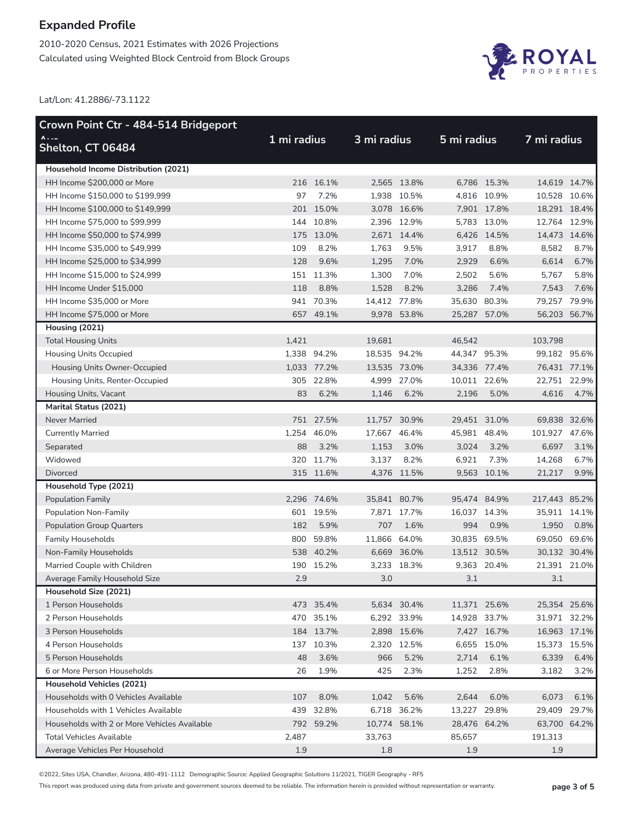2010-2020 Census, 2021 Estimates with 2026 Projections Calculated using Weighted Block Centroid from Block Groups



Lat/Lon: 41.2886/-73.1122

| Crown Point Ctr - 484-514 Bridgeport         |             |             |              |             |              |              |               |              |
|----------------------------------------------|-------------|-------------|--------------|-------------|--------------|--------------|---------------|--------------|
| $\Lambda$<br>Shelton, CT 06484               | 1 mi radius |             | 3 mi radius  |             | 5 mi radius  |              | 7 mi radius   |              |
| Household Income Distribution (2021)         |             |             |              |             |              |              |               |              |
| HH Income \$200,000 or More                  |             | 216 16.1%   |              | 2,565 13.8% |              | 6.786 15.3%  |               | 14,619 14.7% |
| HH Income \$150,000 to \$199,999             | 97          | 7.2%        |              | 1,938 10.5% |              | 4,816 10.9%  | 10,528 10.6%  |              |
| HH Income \$100,000 to \$149,999             |             | 201 15.0%   |              | 3,078 16.6% |              | 7,901 17.8%  | 18,291 18.4%  |              |
| HH Income \$75,000 to \$99,999               | 144         | 10.8%       |              | 2,396 12.9% |              | 5,783 13.0%  | 12,764 12.9%  |              |
| HH Income \$50,000 to \$74,999               |             | 175 13.0%   |              | 2.671 14.4% |              | 6,426 14.5%  | 14,473 14.6%  |              |
| HH Income \$35,000 to \$49,999               | 109         | 8.2%        | 1,763        | 9.5%        | 3,917        | 8.8%         | 8,582         | 8.7%         |
| HH Income \$25,000 to \$34,999               | 128         | 9.6%        | 1,295        | 7.0%        | 2,929        | 6.6%         | 6,614         | 6.7%         |
| HH Income \$15,000 to \$24,999               |             | 151 11.3%   | 1,300        | 7.0%        | 2,502        | 5.6%         | 5,767         | 5.8%         |
| HH Income Under \$15,000                     | 118         | 8.8%        | 1,528        | 8.2%        | 3,286        | 7.4%         | 7,543         | 7.6%         |
| HH Income \$35,000 or More                   |             | 941 70.3%   | 14,412 77.8% |             | 35,630 80.3% |              | 79,257 79.9%  |              |
| HH Income \$75,000 or More                   |             | 657 49.1%   |              | 9,978 53.8% | 25,287 57.0% |              | 56,203 56.7%  |              |
| Housing (2021)                               |             |             |              |             |              |              |               |              |
| <b>Total Housing Units</b>                   | 1,421       |             | 19,681       |             | 46,542       |              | 103,798       |              |
| <b>Housing Units Occupied</b>                |             | 1,338 94.2% | 18,535 94.2% |             | 44,347 95.3% |              | 99,182 95.6%  |              |
| Housing Units Owner-Occupied                 |             | 1,033 77.2% | 13,535 73.0% |             |              | 34,336 77.4% | 76,431 77.1%  |              |
| Housing Units, Renter-Occupied               |             | 305 22.8%   |              | 4,999 27.0% | 10,011 22.6% |              | 22,751 22.9%  |              |
| Housing Units, Vacant                        | 83          | 6.2%        | 1,146        | 6.2%        | 2,196        | 5.0%         | 4,616         | 4.7%         |
| <b>Marital Status (2021)</b>                 |             |             |              |             |              |              |               |              |
| <b>Never Married</b>                         |             | 751 27.5%   | 11,757 30.9% |             | 29,451 31.0% |              | 69,838 32.6%  |              |
| <b>Currently Married</b>                     | 1,254       | 46.0%       | 17,667 46.4% |             | 45,981 48.4% |              | 101,927 47.6% |              |
| Separated                                    | 88          | 3.2%        | 1,153        | 3.0%        | 3,024        | 3.2%         | 6,697         | 3.1%         |
| Widowed                                      |             | 320 11.7%   | 3,137        | 8.2%        | 6,921        | 7.3%         | 14,268        | 6.7%         |
| <b>Divorced</b>                              |             | 315 11.6%   |              | 4,376 11.5% |              | 9,563 10.1%  | 21,217        | 9.9%         |
| Household Type (2021)                        |             |             |              |             |              |              |               |              |
| <b>Population Family</b>                     |             | 2,296 74.6% | 35,841 80.7% |             | 95,474 84.9% |              | 217,443 85.2% |              |
| Population Non-Family                        |             | 601 19.5%   |              | 7,871 17.7% | 16,037 14.3% |              | 35,911 14.1%  |              |
| <b>Population Group Quarters</b>             | 182         | 5.9%        | 707          | 1.6%        | 994          | 0.9%         | 1,950         | 0.8%         |
| <b>Family Households</b>                     | 800         | 59.8%       | 11,866 64.0% |             | 30,835 69.5% |              | 69,050 69.6%  |              |
| Non-Family Households                        |             | 538 40.2%   |              | 6,669 36.0% |              | 13,512 30.5% | 30,132 30.4%  |              |
| Married Couple with Children                 |             | 190 15.2%   |              | 3,233 18.3% |              | 9,363 20.4%  | 21,391 21.0%  |              |
| Average Family Household Size                | 2.9         |             | 3.0          |             | 3.1          |              | 3.1           |              |
| Household Size (2021)                        |             |             |              |             |              |              |               |              |
| 1 Person Households                          |             | 473 35.4%   |              | 5,634 30.4% |              | 11,371 25.6% | 25,354 25.6%  |              |
| 2 Person Households                          |             | 470 35.1%   |              | 6,292 33.9% | 14,928 33.7% |              | 31,971 32.2%  |              |
| 3 Person Households                          |             | 184 13.7%   |              | 2,898 15.6% |              | 7,427 16.7%  | 16,963 17.1%  |              |
| 4 Person Households                          |             | 137 10.3%   |              | 2,320 12.5% |              | 6,655 15.0%  | 15,373 15.5%  |              |
| 5 Person Households                          | 48          | 3.6%        | 966          | 5.2%        | 2,714        | 6.1%         | 6,339         | 6.4%         |
| 6 or More Person Households                  | 26          | 1.9%        | 425          | 2.3%        | 1,252        | 2.8%         | 3,182         | 3.2%         |
| Household Vehicles (2021)                    |             |             |              |             |              |              |               |              |
| Households with 0 Vehicles Available         | 107         | 8.0%        | 1,042        | 5.6%        | 2,644        | 6.0%         | 6,073         | 6.1%         |
| Households with 1 Vehicles Available         |             | 439 32.8%   |              | 6,718 36.2% | 13,227 29.8% |              | 29,409 29.7%  |              |
| Households with 2 or More Vehicles Available |             | 792 59.2%   | 10,774 58.1% |             |              | 28,476 64.2% | 63,700 64.2%  |              |
| <b>Total Vehicles Available</b>              | 2,487       |             | 33,763       |             | 85,657       |              | 191,313       |              |
| Average Vehicles Per Household               | 1.9         |             | 1.8          |             | 1.9          |              | 1.9           |              |

©2022, Sites USA, Chandler, Arizona, 480-491-1112 Demographic Source: Applied Geographic Solutions 11/2021, TIGER Geography - RF5

This report was produced using data from private and government sources deemed to be reliable. The information herein is provided without representation or warranty. **page 3 of 5**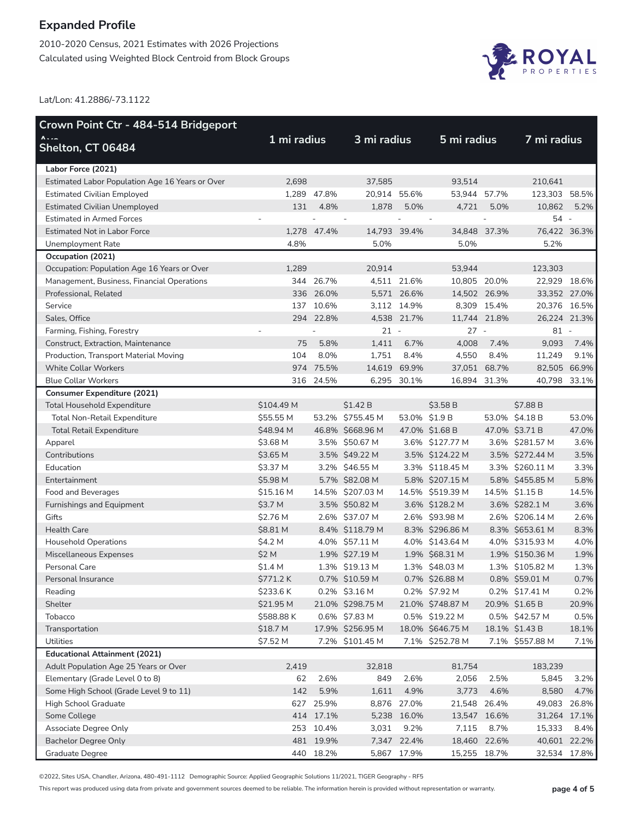2010-2020 Census, 2021 Estimates with 2026 Projections Calculated using Weighted Block Centroid from Block Groups



Lat/Lon: 41.2886/-73.1122

| $\Lambda$<br>3 mi radius<br>5 mi radius<br>7 mi radius<br>1 mi radius<br><b>Shelton, CT 06484</b><br>Labor Force (2021)<br>210,641<br>Estimated Labor Population Age 16 Years or Over<br>2,698<br>37,585<br>93,514<br>1,289 47.8%<br>20,914 55.6%<br>53,944 57.7%<br>123,303 58.5%<br><b>Estimated Civilian Employed</b><br>131<br>4.8%<br>1,878<br>5.0%<br>4,721<br>5.0%<br>10,862<br><b>Estimated Civilian Unemployed</b><br>5.2%<br>54 -<br><b>Estimated in Armed Forces</b><br>$\overline{\phantom{a}}$<br><b>Estimated Not in Labor Force</b><br>14,793 39.4%<br>76,422 36.3%<br>1,278 47.4%<br>34,848 37.3%<br>4.8%<br>5.0%<br>5.0%<br>5.2%<br>Unemployment Rate<br>Occupation (2021)<br>123,303<br>Occupation: Population Age 16 Years or Over<br>1,289<br>20,914<br>53,944<br>344 26.7%<br>4,511 21.6%<br>10,805 20.0%<br>Management, Business, Financial Operations<br>22,929 18.6%<br>336 26.0%<br>5,571 26.6%<br>14,502 26.9%<br>33,352 27.0%<br>Professional, Related<br>137<br>10.6%<br>3,112 14.9%<br>8,309 15.4%<br>20,376 16.5%<br>Service<br>294 22.8%<br>4,538 21.7%<br>11,744 21.8%<br>26,224 21.3%<br>Sales, Office<br>$21 -$<br>$27 -$<br>$81 -$<br>Farming, Fishing, Forestry<br>5.8%<br>1,411<br>6.7%<br>4,008<br>9,093<br>Construct, Extraction, Maintenance<br>75<br>7.4%<br>7.4%<br>1,751<br>104<br>8.0%<br>8.4%<br>4,550<br>8.4%<br>9.1%<br>Production, Transport Material Moving<br>11,249<br>974 75.5%<br>14,619<br>69.9%<br>37,051 68.7%<br>82,505 66.9%<br><b>White Collar Workers</b><br><b>Blue Collar Workers</b><br>316 24.5%<br>6,295 30.1%<br>16,894 31.3%<br>40,798 33.1%<br><b>Consumer Expenditure (2021)</b><br><b>Total Household Expenditure</b><br>\$104.49 M<br>\$1.42B<br>\$3.58 B<br>\$7.88 B<br>53.0% \$4.18 B<br>\$55.55 M<br>53.2% \$755.45 M<br>53.0% \$1.9 B<br><b>Total Non-Retail Expenditure</b><br>53.0%<br>47.0% \$3.71 B<br>\$48.94 M<br>46.8% \$668.96 M<br>47.0% \$1.68 B<br>47.0%<br><b>Total Retail Expenditure</b><br>\$3.68 M<br>3.5% \$50.67 M<br>3.6% \$127.77 M<br>3.6% \$281.57 M<br>3.6%<br>Apparel<br>\$3.65 M<br>3.5% \$49.22 M<br>3.5% \$124.22 M<br>3.5% \$272.44 M<br>3.5%<br>Contributions<br>\$3.37 M<br>3.2% \$46.55 M<br>3.3% \$118.45 M<br>3.3% \$260.11 M<br>3.3%<br>Education<br>\$5.98 M<br>5.7% \$82.08 M<br>5.8% \$207.15 M<br>5.8% \$455.85 M<br>5.8%<br>Entertainment<br>\$15.16 M<br>14.5% \$207.03 M<br>14.5% \$519.39 M<br>14.5% \$1.15 B<br>14.5%<br>Food and Beverages<br>\$3.7 M<br>3.6% \$282.1 M<br>3.5% \$50.82 M<br>3.6% \$128.2 M<br>3.6%<br>Furnishings and Equipment<br>Gifts<br>\$2.76 M<br>2.6% \$37.07 M<br>2.6% \$93.98 M<br>2.6% \$206.14 M<br>2.6%<br>\$8.81 M<br>8.4% \$118.79 M<br>8.3% \$296.86 M<br>8.3% \$653.61 M<br><b>Health Care</b><br>8.3%<br>\$4.2 M<br>4.0% \$57.11 M<br>4.0% \$143.64 M<br>4.0% \$315.93 M<br>4.0%<br><b>Household Operations</b><br>\$2 M<br>1.9% \$27.19 M<br>1.9% \$68.31 M<br>1.9% \$150.36 M<br>Miscellaneous Expenses<br>1.9%<br>Personal Care<br>\$1.4 M<br>1.3% \$19.13 M<br>1.3% \$48.03 M<br>1.3% \$105.82 M<br>1.3%<br>0.7% \$10.59 M<br>0.8% \$59.01 M<br>\$771.2K<br>0.7% \$26.88 M<br>0.7%<br>Personal Insurance<br>0.2% \$3.16 M<br>\$233.6K<br>0.2% \$7.92 M<br>0.2% \$17.41 M<br>0.2%<br>Reading<br>\$21.95 M<br>21.0% \$298.75 M<br>21.0% \$748.87 M<br>20.9% \$1.65 B<br>Shelter<br>20.9%<br>0.5% \$42.57 M<br>Tobacco<br>\$588.88 K<br>0.6% \$7.83 M<br>0.5% \$19.22 M<br>0.5%<br>17.9% \$256.95 M<br>18.0% \$646.75 M<br>18.1% \$1.43 B<br>Transportation<br>\$18.7 M<br>18.1%<br>Utilities<br>\$7.52 M<br>7.2% \$101.45 M<br>7.1% \$252.78 M<br>7.1% \$557.88 M<br>7.1%<br><b>Educational Attainment (2021)</b><br>Adult Population Age 25 Years or Over<br>183,239<br>2,419<br>32,818<br>81,754<br>2.6%<br>2.5%<br>Elementary (Grade Level 0 to 8)<br>62<br>849<br>2.6%<br>2,056<br>5,845<br>3.2%<br>5.9%<br>4.9%<br>Some High School (Grade Level 9 to 11)<br>142<br>1,611<br>3,773<br>4.6%<br>8,580<br>4.7%<br>627 25.9%<br>High School Graduate<br>8,876 27.0%<br>21,548 26.4%<br>49,083 26.8%<br>414 17.1%<br>Some College<br>5,238 16.0%<br>13,547 16.6%<br>31,264 17.1%<br>Associate Degree Only<br>253 10.4%<br>3,031<br>9.2%<br>7,115<br>8.7%<br>15,333<br>8.4%<br>481 19.9%<br>7,347 22.4%<br><b>Bachelor Degree Only</b><br>18,460 22.6%<br>40,601 22.2%<br>440 18.2%<br>5,867 17.9%<br>15,255 18.7%<br>32,534 17.8% | Crown Point Ctr - 484-514 Bridgeport |  |  |  |  |  |  |  |  |
|----------------------------------------------------------------------------------------------------------------------------------------------------------------------------------------------------------------------------------------------------------------------------------------------------------------------------------------------------------------------------------------------------------------------------------------------------------------------------------------------------------------------------------------------------------------------------------------------------------------------------------------------------------------------------------------------------------------------------------------------------------------------------------------------------------------------------------------------------------------------------------------------------------------------------------------------------------------------------------------------------------------------------------------------------------------------------------------------------------------------------------------------------------------------------------------------------------------------------------------------------------------------------------------------------------------------------------------------------------------------------------------------------------------------------------------------------------------------------------------------------------------------------------------------------------------------------------------------------------------------------------------------------------------------------------------------------------------------------------------------------------------------------------------------------------------------------------------------------------------------------------------------------------------------------------------------------------------------------------------------------------------------------------------------------------------------------------------------------------------------------------------------------------------------------------------------------------------------------------------------------------------------------------------------------------------------------------------------------------------------------------------------------------------------------------------------------------------------------------------------------------------------------------------------------------------------------------------------------------------------------------------------------------------------------------------------------------------------------------------------------------------------------------------------------------------------------------------------------------------------------------------------------------------------------------------------------------------------------------------------------------------------------------------------------------------------------------------------------------------------------------------------------------------------------------------------------------------------------------------------------------------------------------------------------------------------------------------------------------------------------------------------------------------------------------------------------------------------------------------------------------------------------------------------------------------------------------------------------------------------------------------------------------------------------------------------------------------------------------------------------------------------------------------------------------------------------------------------------------------------------------------------------------------------------------------------------------------------------------------------------------------------------------------------------------------------------------------------------------------------------------------------------------------------------------------------------------------------------------------------------------------------------------------------------------------------------------------------------------------------------------------------|--------------------------------------|--|--|--|--|--|--|--|--|
|                                                                                                                                                                                                                                                                                                                                                                                                                                                                                                                                                                                                                                                                                                                                                                                                                                                                                                                                                                                                                                                                                                                                                                                                                                                                                                                                                                                                                                                                                                                                                                                                                                                                                                                                                                                                                                                                                                                                                                                                                                                                                                                                                                                                                                                                                                                                                                                                                                                                                                                                                                                                                                                                                                                                                                                                                                                                                                                                                                                                                                                                                                                                                                                                                                                                                                                                                                                                                                                                                                                                                                                                                                                                                                                                                                                                                                                                                                                                                                                                                                                                                                                                                                                                                                                                                                                                                                                              |                                      |  |  |  |  |  |  |  |  |
|                                                                                                                                                                                                                                                                                                                                                                                                                                                                                                                                                                                                                                                                                                                                                                                                                                                                                                                                                                                                                                                                                                                                                                                                                                                                                                                                                                                                                                                                                                                                                                                                                                                                                                                                                                                                                                                                                                                                                                                                                                                                                                                                                                                                                                                                                                                                                                                                                                                                                                                                                                                                                                                                                                                                                                                                                                                                                                                                                                                                                                                                                                                                                                                                                                                                                                                                                                                                                                                                                                                                                                                                                                                                                                                                                                                                                                                                                                                                                                                                                                                                                                                                                                                                                                                                                                                                                                                              |                                      |  |  |  |  |  |  |  |  |
|                                                                                                                                                                                                                                                                                                                                                                                                                                                                                                                                                                                                                                                                                                                                                                                                                                                                                                                                                                                                                                                                                                                                                                                                                                                                                                                                                                                                                                                                                                                                                                                                                                                                                                                                                                                                                                                                                                                                                                                                                                                                                                                                                                                                                                                                                                                                                                                                                                                                                                                                                                                                                                                                                                                                                                                                                                                                                                                                                                                                                                                                                                                                                                                                                                                                                                                                                                                                                                                                                                                                                                                                                                                                                                                                                                                                                                                                                                                                                                                                                                                                                                                                                                                                                                                                                                                                                                                              |                                      |  |  |  |  |  |  |  |  |
|                                                                                                                                                                                                                                                                                                                                                                                                                                                                                                                                                                                                                                                                                                                                                                                                                                                                                                                                                                                                                                                                                                                                                                                                                                                                                                                                                                                                                                                                                                                                                                                                                                                                                                                                                                                                                                                                                                                                                                                                                                                                                                                                                                                                                                                                                                                                                                                                                                                                                                                                                                                                                                                                                                                                                                                                                                                                                                                                                                                                                                                                                                                                                                                                                                                                                                                                                                                                                                                                                                                                                                                                                                                                                                                                                                                                                                                                                                                                                                                                                                                                                                                                                                                                                                                                                                                                                                                              |                                      |  |  |  |  |  |  |  |  |
|                                                                                                                                                                                                                                                                                                                                                                                                                                                                                                                                                                                                                                                                                                                                                                                                                                                                                                                                                                                                                                                                                                                                                                                                                                                                                                                                                                                                                                                                                                                                                                                                                                                                                                                                                                                                                                                                                                                                                                                                                                                                                                                                                                                                                                                                                                                                                                                                                                                                                                                                                                                                                                                                                                                                                                                                                                                                                                                                                                                                                                                                                                                                                                                                                                                                                                                                                                                                                                                                                                                                                                                                                                                                                                                                                                                                                                                                                                                                                                                                                                                                                                                                                                                                                                                                                                                                                                                              |                                      |  |  |  |  |  |  |  |  |
|                                                                                                                                                                                                                                                                                                                                                                                                                                                                                                                                                                                                                                                                                                                                                                                                                                                                                                                                                                                                                                                                                                                                                                                                                                                                                                                                                                                                                                                                                                                                                                                                                                                                                                                                                                                                                                                                                                                                                                                                                                                                                                                                                                                                                                                                                                                                                                                                                                                                                                                                                                                                                                                                                                                                                                                                                                                                                                                                                                                                                                                                                                                                                                                                                                                                                                                                                                                                                                                                                                                                                                                                                                                                                                                                                                                                                                                                                                                                                                                                                                                                                                                                                                                                                                                                                                                                                                                              |                                      |  |  |  |  |  |  |  |  |
|                                                                                                                                                                                                                                                                                                                                                                                                                                                                                                                                                                                                                                                                                                                                                                                                                                                                                                                                                                                                                                                                                                                                                                                                                                                                                                                                                                                                                                                                                                                                                                                                                                                                                                                                                                                                                                                                                                                                                                                                                                                                                                                                                                                                                                                                                                                                                                                                                                                                                                                                                                                                                                                                                                                                                                                                                                                                                                                                                                                                                                                                                                                                                                                                                                                                                                                                                                                                                                                                                                                                                                                                                                                                                                                                                                                                                                                                                                                                                                                                                                                                                                                                                                                                                                                                                                                                                                                              |                                      |  |  |  |  |  |  |  |  |
|                                                                                                                                                                                                                                                                                                                                                                                                                                                                                                                                                                                                                                                                                                                                                                                                                                                                                                                                                                                                                                                                                                                                                                                                                                                                                                                                                                                                                                                                                                                                                                                                                                                                                                                                                                                                                                                                                                                                                                                                                                                                                                                                                                                                                                                                                                                                                                                                                                                                                                                                                                                                                                                                                                                                                                                                                                                                                                                                                                                                                                                                                                                                                                                                                                                                                                                                                                                                                                                                                                                                                                                                                                                                                                                                                                                                                                                                                                                                                                                                                                                                                                                                                                                                                                                                                                                                                                                              |                                      |  |  |  |  |  |  |  |  |
|                                                                                                                                                                                                                                                                                                                                                                                                                                                                                                                                                                                                                                                                                                                                                                                                                                                                                                                                                                                                                                                                                                                                                                                                                                                                                                                                                                                                                                                                                                                                                                                                                                                                                                                                                                                                                                                                                                                                                                                                                                                                                                                                                                                                                                                                                                                                                                                                                                                                                                                                                                                                                                                                                                                                                                                                                                                                                                                                                                                                                                                                                                                                                                                                                                                                                                                                                                                                                                                                                                                                                                                                                                                                                                                                                                                                                                                                                                                                                                                                                                                                                                                                                                                                                                                                                                                                                                                              |                                      |  |  |  |  |  |  |  |  |
|                                                                                                                                                                                                                                                                                                                                                                                                                                                                                                                                                                                                                                                                                                                                                                                                                                                                                                                                                                                                                                                                                                                                                                                                                                                                                                                                                                                                                                                                                                                                                                                                                                                                                                                                                                                                                                                                                                                                                                                                                                                                                                                                                                                                                                                                                                                                                                                                                                                                                                                                                                                                                                                                                                                                                                                                                                                                                                                                                                                                                                                                                                                                                                                                                                                                                                                                                                                                                                                                                                                                                                                                                                                                                                                                                                                                                                                                                                                                                                                                                                                                                                                                                                                                                                                                                                                                                                                              |                                      |  |  |  |  |  |  |  |  |
|                                                                                                                                                                                                                                                                                                                                                                                                                                                                                                                                                                                                                                                                                                                                                                                                                                                                                                                                                                                                                                                                                                                                                                                                                                                                                                                                                                                                                                                                                                                                                                                                                                                                                                                                                                                                                                                                                                                                                                                                                                                                                                                                                                                                                                                                                                                                                                                                                                                                                                                                                                                                                                                                                                                                                                                                                                                                                                                                                                                                                                                                                                                                                                                                                                                                                                                                                                                                                                                                                                                                                                                                                                                                                                                                                                                                                                                                                                                                                                                                                                                                                                                                                                                                                                                                                                                                                                                              |                                      |  |  |  |  |  |  |  |  |
|                                                                                                                                                                                                                                                                                                                                                                                                                                                                                                                                                                                                                                                                                                                                                                                                                                                                                                                                                                                                                                                                                                                                                                                                                                                                                                                                                                                                                                                                                                                                                                                                                                                                                                                                                                                                                                                                                                                                                                                                                                                                                                                                                                                                                                                                                                                                                                                                                                                                                                                                                                                                                                                                                                                                                                                                                                                                                                                                                                                                                                                                                                                                                                                                                                                                                                                                                                                                                                                                                                                                                                                                                                                                                                                                                                                                                                                                                                                                                                                                                                                                                                                                                                                                                                                                                                                                                                                              |                                      |  |  |  |  |  |  |  |  |
|                                                                                                                                                                                                                                                                                                                                                                                                                                                                                                                                                                                                                                                                                                                                                                                                                                                                                                                                                                                                                                                                                                                                                                                                                                                                                                                                                                                                                                                                                                                                                                                                                                                                                                                                                                                                                                                                                                                                                                                                                                                                                                                                                                                                                                                                                                                                                                                                                                                                                                                                                                                                                                                                                                                                                                                                                                                                                                                                                                                                                                                                                                                                                                                                                                                                                                                                                                                                                                                                                                                                                                                                                                                                                                                                                                                                                                                                                                                                                                                                                                                                                                                                                                                                                                                                                                                                                                                              |                                      |  |  |  |  |  |  |  |  |
|                                                                                                                                                                                                                                                                                                                                                                                                                                                                                                                                                                                                                                                                                                                                                                                                                                                                                                                                                                                                                                                                                                                                                                                                                                                                                                                                                                                                                                                                                                                                                                                                                                                                                                                                                                                                                                                                                                                                                                                                                                                                                                                                                                                                                                                                                                                                                                                                                                                                                                                                                                                                                                                                                                                                                                                                                                                                                                                                                                                                                                                                                                                                                                                                                                                                                                                                                                                                                                                                                                                                                                                                                                                                                                                                                                                                                                                                                                                                                                                                                                                                                                                                                                                                                                                                                                                                                                                              |                                      |  |  |  |  |  |  |  |  |
|                                                                                                                                                                                                                                                                                                                                                                                                                                                                                                                                                                                                                                                                                                                                                                                                                                                                                                                                                                                                                                                                                                                                                                                                                                                                                                                                                                                                                                                                                                                                                                                                                                                                                                                                                                                                                                                                                                                                                                                                                                                                                                                                                                                                                                                                                                                                                                                                                                                                                                                                                                                                                                                                                                                                                                                                                                                                                                                                                                                                                                                                                                                                                                                                                                                                                                                                                                                                                                                                                                                                                                                                                                                                                                                                                                                                                                                                                                                                                                                                                                                                                                                                                                                                                                                                                                                                                                                              |                                      |  |  |  |  |  |  |  |  |
|                                                                                                                                                                                                                                                                                                                                                                                                                                                                                                                                                                                                                                                                                                                                                                                                                                                                                                                                                                                                                                                                                                                                                                                                                                                                                                                                                                                                                                                                                                                                                                                                                                                                                                                                                                                                                                                                                                                                                                                                                                                                                                                                                                                                                                                                                                                                                                                                                                                                                                                                                                                                                                                                                                                                                                                                                                                                                                                                                                                                                                                                                                                                                                                                                                                                                                                                                                                                                                                                                                                                                                                                                                                                                                                                                                                                                                                                                                                                                                                                                                                                                                                                                                                                                                                                                                                                                                                              |                                      |  |  |  |  |  |  |  |  |
|                                                                                                                                                                                                                                                                                                                                                                                                                                                                                                                                                                                                                                                                                                                                                                                                                                                                                                                                                                                                                                                                                                                                                                                                                                                                                                                                                                                                                                                                                                                                                                                                                                                                                                                                                                                                                                                                                                                                                                                                                                                                                                                                                                                                                                                                                                                                                                                                                                                                                                                                                                                                                                                                                                                                                                                                                                                                                                                                                                                                                                                                                                                                                                                                                                                                                                                                                                                                                                                                                                                                                                                                                                                                                                                                                                                                                                                                                                                                                                                                                                                                                                                                                                                                                                                                                                                                                                                              |                                      |  |  |  |  |  |  |  |  |
|                                                                                                                                                                                                                                                                                                                                                                                                                                                                                                                                                                                                                                                                                                                                                                                                                                                                                                                                                                                                                                                                                                                                                                                                                                                                                                                                                                                                                                                                                                                                                                                                                                                                                                                                                                                                                                                                                                                                                                                                                                                                                                                                                                                                                                                                                                                                                                                                                                                                                                                                                                                                                                                                                                                                                                                                                                                                                                                                                                                                                                                                                                                                                                                                                                                                                                                                                                                                                                                                                                                                                                                                                                                                                                                                                                                                                                                                                                                                                                                                                                                                                                                                                                                                                                                                                                                                                                                              |                                      |  |  |  |  |  |  |  |  |
|                                                                                                                                                                                                                                                                                                                                                                                                                                                                                                                                                                                                                                                                                                                                                                                                                                                                                                                                                                                                                                                                                                                                                                                                                                                                                                                                                                                                                                                                                                                                                                                                                                                                                                                                                                                                                                                                                                                                                                                                                                                                                                                                                                                                                                                                                                                                                                                                                                                                                                                                                                                                                                                                                                                                                                                                                                                                                                                                                                                                                                                                                                                                                                                                                                                                                                                                                                                                                                                                                                                                                                                                                                                                                                                                                                                                                                                                                                                                                                                                                                                                                                                                                                                                                                                                                                                                                                                              |                                      |  |  |  |  |  |  |  |  |
|                                                                                                                                                                                                                                                                                                                                                                                                                                                                                                                                                                                                                                                                                                                                                                                                                                                                                                                                                                                                                                                                                                                                                                                                                                                                                                                                                                                                                                                                                                                                                                                                                                                                                                                                                                                                                                                                                                                                                                                                                                                                                                                                                                                                                                                                                                                                                                                                                                                                                                                                                                                                                                                                                                                                                                                                                                                                                                                                                                                                                                                                                                                                                                                                                                                                                                                                                                                                                                                                                                                                                                                                                                                                                                                                                                                                                                                                                                                                                                                                                                                                                                                                                                                                                                                                                                                                                                                              |                                      |  |  |  |  |  |  |  |  |
|                                                                                                                                                                                                                                                                                                                                                                                                                                                                                                                                                                                                                                                                                                                                                                                                                                                                                                                                                                                                                                                                                                                                                                                                                                                                                                                                                                                                                                                                                                                                                                                                                                                                                                                                                                                                                                                                                                                                                                                                                                                                                                                                                                                                                                                                                                                                                                                                                                                                                                                                                                                                                                                                                                                                                                                                                                                                                                                                                                                                                                                                                                                                                                                                                                                                                                                                                                                                                                                                                                                                                                                                                                                                                                                                                                                                                                                                                                                                                                                                                                                                                                                                                                                                                                                                                                                                                                                              |                                      |  |  |  |  |  |  |  |  |
|                                                                                                                                                                                                                                                                                                                                                                                                                                                                                                                                                                                                                                                                                                                                                                                                                                                                                                                                                                                                                                                                                                                                                                                                                                                                                                                                                                                                                                                                                                                                                                                                                                                                                                                                                                                                                                                                                                                                                                                                                                                                                                                                                                                                                                                                                                                                                                                                                                                                                                                                                                                                                                                                                                                                                                                                                                                                                                                                                                                                                                                                                                                                                                                                                                                                                                                                                                                                                                                                                                                                                                                                                                                                                                                                                                                                                                                                                                                                                                                                                                                                                                                                                                                                                                                                                                                                                                                              |                                      |  |  |  |  |  |  |  |  |
|                                                                                                                                                                                                                                                                                                                                                                                                                                                                                                                                                                                                                                                                                                                                                                                                                                                                                                                                                                                                                                                                                                                                                                                                                                                                                                                                                                                                                                                                                                                                                                                                                                                                                                                                                                                                                                                                                                                                                                                                                                                                                                                                                                                                                                                                                                                                                                                                                                                                                                                                                                                                                                                                                                                                                                                                                                                                                                                                                                                                                                                                                                                                                                                                                                                                                                                                                                                                                                                                                                                                                                                                                                                                                                                                                                                                                                                                                                                                                                                                                                                                                                                                                                                                                                                                                                                                                                                              |                                      |  |  |  |  |  |  |  |  |
|                                                                                                                                                                                                                                                                                                                                                                                                                                                                                                                                                                                                                                                                                                                                                                                                                                                                                                                                                                                                                                                                                                                                                                                                                                                                                                                                                                                                                                                                                                                                                                                                                                                                                                                                                                                                                                                                                                                                                                                                                                                                                                                                                                                                                                                                                                                                                                                                                                                                                                                                                                                                                                                                                                                                                                                                                                                                                                                                                                                                                                                                                                                                                                                                                                                                                                                                                                                                                                                                                                                                                                                                                                                                                                                                                                                                                                                                                                                                                                                                                                                                                                                                                                                                                                                                                                                                                                                              |                                      |  |  |  |  |  |  |  |  |
|                                                                                                                                                                                                                                                                                                                                                                                                                                                                                                                                                                                                                                                                                                                                                                                                                                                                                                                                                                                                                                                                                                                                                                                                                                                                                                                                                                                                                                                                                                                                                                                                                                                                                                                                                                                                                                                                                                                                                                                                                                                                                                                                                                                                                                                                                                                                                                                                                                                                                                                                                                                                                                                                                                                                                                                                                                                                                                                                                                                                                                                                                                                                                                                                                                                                                                                                                                                                                                                                                                                                                                                                                                                                                                                                                                                                                                                                                                                                                                                                                                                                                                                                                                                                                                                                                                                                                                                              |                                      |  |  |  |  |  |  |  |  |
|                                                                                                                                                                                                                                                                                                                                                                                                                                                                                                                                                                                                                                                                                                                                                                                                                                                                                                                                                                                                                                                                                                                                                                                                                                                                                                                                                                                                                                                                                                                                                                                                                                                                                                                                                                                                                                                                                                                                                                                                                                                                                                                                                                                                                                                                                                                                                                                                                                                                                                                                                                                                                                                                                                                                                                                                                                                                                                                                                                                                                                                                                                                                                                                                                                                                                                                                                                                                                                                                                                                                                                                                                                                                                                                                                                                                                                                                                                                                                                                                                                                                                                                                                                                                                                                                                                                                                                                              |                                      |  |  |  |  |  |  |  |  |
|                                                                                                                                                                                                                                                                                                                                                                                                                                                                                                                                                                                                                                                                                                                                                                                                                                                                                                                                                                                                                                                                                                                                                                                                                                                                                                                                                                                                                                                                                                                                                                                                                                                                                                                                                                                                                                                                                                                                                                                                                                                                                                                                                                                                                                                                                                                                                                                                                                                                                                                                                                                                                                                                                                                                                                                                                                                                                                                                                                                                                                                                                                                                                                                                                                                                                                                                                                                                                                                                                                                                                                                                                                                                                                                                                                                                                                                                                                                                                                                                                                                                                                                                                                                                                                                                                                                                                                                              |                                      |  |  |  |  |  |  |  |  |
|                                                                                                                                                                                                                                                                                                                                                                                                                                                                                                                                                                                                                                                                                                                                                                                                                                                                                                                                                                                                                                                                                                                                                                                                                                                                                                                                                                                                                                                                                                                                                                                                                                                                                                                                                                                                                                                                                                                                                                                                                                                                                                                                                                                                                                                                                                                                                                                                                                                                                                                                                                                                                                                                                                                                                                                                                                                                                                                                                                                                                                                                                                                                                                                                                                                                                                                                                                                                                                                                                                                                                                                                                                                                                                                                                                                                                                                                                                                                                                                                                                                                                                                                                                                                                                                                                                                                                                                              |                                      |  |  |  |  |  |  |  |  |
|                                                                                                                                                                                                                                                                                                                                                                                                                                                                                                                                                                                                                                                                                                                                                                                                                                                                                                                                                                                                                                                                                                                                                                                                                                                                                                                                                                                                                                                                                                                                                                                                                                                                                                                                                                                                                                                                                                                                                                                                                                                                                                                                                                                                                                                                                                                                                                                                                                                                                                                                                                                                                                                                                                                                                                                                                                                                                                                                                                                                                                                                                                                                                                                                                                                                                                                                                                                                                                                                                                                                                                                                                                                                                                                                                                                                                                                                                                                                                                                                                                                                                                                                                                                                                                                                                                                                                                                              |                                      |  |  |  |  |  |  |  |  |
|                                                                                                                                                                                                                                                                                                                                                                                                                                                                                                                                                                                                                                                                                                                                                                                                                                                                                                                                                                                                                                                                                                                                                                                                                                                                                                                                                                                                                                                                                                                                                                                                                                                                                                                                                                                                                                                                                                                                                                                                                                                                                                                                                                                                                                                                                                                                                                                                                                                                                                                                                                                                                                                                                                                                                                                                                                                                                                                                                                                                                                                                                                                                                                                                                                                                                                                                                                                                                                                                                                                                                                                                                                                                                                                                                                                                                                                                                                                                                                                                                                                                                                                                                                                                                                                                                                                                                                                              |                                      |  |  |  |  |  |  |  |  |
|                                                                                                                                                                                                                                                                                                                                                                                                                                                                                                                                                                                                                                                                                                                                                                                                                                                                                                                                                                                                                                                                                                                                                                                                                                                                                                                                                                                                                                                                                                                                                                                                                                                                                                                                                                                                                                                                                                                                                                                                                                                                                                                                                                                                                                                                                                                                                                                                                                                                                                                                                                                                                                                                                                                                                                                                                                                                                                                                                                                                                                                                                                                                                                                                                                                                                                                                                                                                                                                                                                                                                                                                                                                                                                                                                                                                                                                                                                                                                                                                                                                                                                                                                                                                                                                                                                                                                                                              |                                      |  |  |  |  |  |  |  |  |
|                                                                                                                                                                                                                                                                                                                                                                                                                                                                                                                                                                                                                                                                                                                                                                                                                                                                                                                                                                                                                                                                                                                                                                                                                                                                                                                                                                                                                                                                                                                                                                                                                                                                                                                                                                                                                                                                                                                                                                                                                                                                                                                                                                                                                                                                                                                                                                                                                                                                                                                                                                                                                                                                                                                                                                                                                                                                                                                                                                                                                                                                                                                                                                                                                                                                                                                                                                                                                                                                                                                                                                                                                                                                                                                                                                                                                                                                                                                                                                                                                                                                                                                                                                                                                                                                                                                                                                                              |                                      |  |  |  |  |  |  |  |  |
|                                                                                                                                                                                                                                                                                                                                                                                                                                                                                                                                                                                                                                                                                                                                                                                                                                                                                                                                                                                                                                                                                                                                                                                                                                                                                                                                                                                                                                                                                                                                                                                                                                                                                                                                                                                                                                                                                                                                                                                                                                                                                                                                                                                                                                                                                                                                                                                                                                                                                                                                                                                                                                                                                                                                                                                                                                                                                                                                                                                                                                                                                                                                                                                                                                                                                                                                                                                                                                                                                                                                                                                                                                                                                                                                                                                                                                                                                                                                                                                                                                                                                                                                                                                                                                                                                                                                                                                              |                                      |  |  |  |  |  |  |  |  |
|                                                                                                                                                                                                                                                                                                                                                                                                                                                                                                                                                                                                                                                                                                                                                                                                                                                                                                                                                                                                                                                                                                                                                                                                                                                                                                                                                                                                                                                                                                                                                                                                                                                                                                                                                                                                                                                                                                                                                                                                                                                                                                                                                                                                                                                                                                                                                                                                                                                                                                                                                                                                                                                                                                                                                                                                                                                                                                                                                                                                                                                                                                                                                                                                                                                                                                                                                                                                                                                                                                                                                                                                                                                                                                                                                                                                                                                                                                                                                                                                                                                                                                                                                                                                                                                                                                                                                                                              |                                      |  |  |  |  |  |  |  |  |
|                                                                                                                                                                                                                                                                                                                                                                                                                                                                                                                                                                                                                                                                                                                                                                                                                                                                                                                                                                                                                                                                                                                                                                                                                                                                                                                                                                                                                                                                                                                                                                                                                                                                                                                                                                                                                                                                                                                                                                                                                                                                                                                                                                                                                                                                                                                                                                                                                                                                                                                                                                                                                                                                                                                                                                                                                                                                                                                                                                                                                                                                                                                                                                                                                                                                                                                                                                                                                                                                                                                                                                                                                                                                                                                                                                                                                                                                                                                                                                                                                                                                                                                                                                                                                                                                                                                                                                                              |                                      |  |  |  |  |  |  |  |  |
|                                                                                                                                                                                                                                                                                                                                                                                                                                                                                                                                                                                                                                                                                                                                                                                                                                                                                                                                                                                                                                                                                                                                                                                                                                                                                                                                                                                                                                                                                                                                                                                                                                                                                                                                                                                                                                                                                                                                                                                                                                                                                                                                                                                                                                                                                                                                                                                                                                                                                                                                                                                                                                                                                                                                                                                                                                                                                                                                                                                                                                                                                                                                                                                                                                                                                                                                                                                                                                                                                                                                                                                                                                                                                                                                                                                                                                                                                                                                                                                                                                                                                                                                                                                                                                                                                                                                                                                              |                                      |  |  |  |  |  |  |  |  |
|                                                                                                                                                                                                                                                                                                                                                                                                                                                                                                                                                                                                                                                                                                                                                                                                                                                                                                                                                                                                                                                                                                                                                                                                                                                                                                                                                                                                                                                                                                                                                                                                                                                                                                                                                                                                                                                                                                                                                                                                                                                                                                                                                                                                                                                                                                                                                                                                                                                                                                                                                                                                                                                                                                                                                                                                                                                                                                                                                                                                                                                                                                                                                                                                                                                                                                                                                                                                                                                                                                                                                                                                                                                                                                                                                                                                                                                                                                                                                                                                                                                                                                                                                                                                                                                                                                                                                                                              |                                      |  |  |  |  |  |  |  |  |
|                                                                                                                                                                                                                                                                                                                                                                                                                                                                                                                                                                                                                                                                                                                                                                                                                                                                                                                                                                                                                                                                                                                                                                                                                                                                                                                                                                                                                                                                                                                                                                                                                                                                                                                                                                                                                                                                                                                                                                                                                                                                                                                                                                                                                                                                                                                                                                                                                                                                                                                                                                                                                                                                                                                                                                                                                                                                                                                                                                                                                                                                                                                                                                                                                                                                                                                                                                                                                                                                                                                                                                                                                                                                                                                                                                                                                                                                                                                                                                                                                                                                                                                                                                                                                                                                                                                                                                                              |                                      |  |  |  |  |  |  |  |  |
|                                                                                                                                                                                                                                                                                                                                                                                                                                                                                                                                                                                                                                                                                                                                                                                                                                                                                                                                                                                                                                                                                                                                                                                                                                                                                                                                                                                                                                                                                                                                                                                                                                                                                                                                                                                                                                                                                                                                                                                                                                                                                                                                                                                                                                                                                                                                                                                                                                                                                                                                                                                                                                                                                                                                                                                                                                                                                                                                                                                                                                                                                                                                                                                                                                                                                                                                                                                                                                                                                                                                                                                                                                                                                                                                                                                                                                                                                                                                                                                                                                                                                                                                                                                                                                                                                                                                                                                              |                                      |  |  |  |  |  |  |  |  |
|                                                                                                                                                                                                                                                                                                                                                                                                                                                                                                                                                                                                                                                                                                                                                                                                                                                                                                                                                                                                                                                                                                                                                                                                                                                                                                                                                                                                                                                                                                                                                                                                                                                                                                                                                                                                                                                                                                                                                                                                                                                                                                                                                                                                                                                                                                                                                                                                                                                                                                                                                                                                                                                                                                                                                                                                                                                                                                                                                                                                                                                                                                                                                                                                                                                                                                                                                                                                                                                                                                                                                                                                                                                                                                                                                                                                                                                                                                                                                                                                                                                                                                                                                                                                                                                                                                                                                                                              |                                      |  |  |  |  |  |  |  |  |
|                                                                                                                                                                                                                                                                                                                                                                                                                                                                                                                                                                                                                                                                                                                                                                                                                                                                                                                                                                                                                                                                                                                                                                                                                                                                                                                                                                                                                                                                                                                                                                                                                                                                                                                                                                                                                                                                                                                                                                                                                                                                                                                                                                                                                                                                                                                                                                                                                                                                                                                                                                                                                                                                                                                                                                                                                                                                                                                                                                                                                                                                                                                                                                                                                                                                                                                                                                                                                                                                                                                                                                                                                                                                                                                                                                                                                                                                                                                                                                                                                                                                                                                                                                                                                                                                                                                                                                                              |                                      |  |  |  |  |  |  |  |  |
|                                                                                                                                                                                                                                                                                                                                                                                                                                                                                                                                                                                                                                                                                                                                                                                                                                                                                                                                                                                                                                                                                                                                                                                                                                                                                                                                                                                                                                                                                                                                                                                                                                                                                                                                                                                                                                                                                                                                                                                                                                                                                                                                                                                                                                                                                                                                                                                                                                                                                                                                                                                                                                                                                                                                                                                                                                                                                                                                                                                                                                                                                                                                                                                                                                                                                                                                                                                                                                                                                                                                                                                                                                                                                                                                                                                                                                                                                                                                                                                                                                                                                                                                                                                                                                                                                                                                                                                              |                                      |  |  |  |  |  |  |  |  |
|                                                                                                                                                                                                                                                                                                                                                                                                                                                                                                                                                                                                                                                                                                                                                                                                                                                                                                                                                                                                                                                                                                                                                                                                                                                                                                                                                                                                                                                                                                                                                                                                                                                                                                                                                                                                                                                                                                                                                                                                                                                                                                                                                                                                                                                                                                                                                                                                                                                                                                                                                                                                                                                                                                                                                                                                                                                                                                                                                                                                                                                                                                                                                                                                                                                                                                                                                                                                                                                                                                                                                                                                                                                                                                                                                                                                                                                                                                                                                                                                                                                                                                                                                                                                                                                                                                                                                                                              |                                      |  |  |  |  |  |  |  |  |
|                                                                                                                                                                                                                                                                                                                                                                                                                                                                                                                                                                                                                                                                                                                                                                                                                                                                                                                                                                                                                                                                                                                                                                                                                                                                                                                                                                                                                                                                                                                                                                                                                                                                                                                                                                                                                                                                                                                                                                                                                                                                                                                                                                                                                                                                                                                                                                                                                                                                                                                                                                                                                                                                                                                                                                                                                                                                                                                                                                                                                                                                                                                                                                                                                                                                                                                                                                                                                                                                                                                                                                                                                                                                                                                                                                                                                                                                                                                                                                                                                                                                                                                                                                                                                                                                                                                                                                                              |                                      |  |  |  |  |  |  |  |  |
|                                                                                                                                                                                                                                                                                                                                                                                                                                                                                                                                                                                                                                                                                                                                                                                                                                                                                                                                                                                                                                                                                                                                                                                                                                                                                                                                                                                                                                                                                                                                                                                                                                                                                                                                                                                                                                                                                                                                                                                                                                                                                                                                                                                                                                                                                                                                                                                                                                                                                                                                                                                                                                                                                                                                                                                                                                                                                                                                                                                                                                                                                                                                                                                                                                                                                                                                                                                                                                                                                                                                                                                                                                                                                                                                                                                                                                                                                                                                                                                                                                                                                                                                                                                                                                                                                                                                                                                              |                                      |  |  |  |  |  |  |  |  |
|                                                                                                                                                                                                                                                                                                                                                                                                                                                                                                                                                                                                                                                                                                                                                                                                                                                                                                                                                                                                                                                                                                                                                                                                                                                                                                                                                                                                                                                                                                                                                                                                                                                                                                                                                                                                                                                                                                                                                                                                                                                                                                                                                                                                                                                                                                                                                                                                                                                                                                                                                                                                                                                                                                                                                                                                                                                                                                                                                                                                                                                                                                                                                                                                                                                                                                                                                                                                                                                                                                                                                                                                                                                                                                                                                                                                                                                                                                                                                                                                                                                                                                                                                                                                                                                                                                                                                                                              |                                      |  |  |  |  |  |  |  |  |
|                                                                                                                                                                                                                                                                                                                                                                                                                                                                                                                                                                                                                                                                                                                                                                                                                                                                                                                                                                                                                                                                                                                                                                                                                                                                                                                                                                                                                                                                                                                                                                                                                                                                                                                                                                                                                                                                                                                                                                                                                                                                                                                                                                                                                                                                                                                                                                                                                                                                                                                                                                                                                                                                                                                                                                                                                                                                                                                                                                                                                                                                                                                                                                                                                                                                                                                                                                                                                                                                                                                                                                                                                                                                                                                                                                                                                                                                                                                                                                                                                                                                                                                                                                                                                                                                                                                                                                                              |                                      |  |  |  |  |  |  |  |  |
|                                                                                                                                                                                                                                                                                                                                                                                                                                                                                                                                                                                                                                                                                                                                                                                                                                                                                                                                                                                                                                                                                                                                                                                                                                                                                                                                                                                                                                                                                                                                                                                                                                                                                                                                                                                                                                                                                                                                                                                                                                                                                                                                                                                                                                                                                                                                                                                                                                                                                                                                                                                                                                                                                                                                                                                                                                                                                                                                                                                                                                                                                                                                                                                                                                                                                                                                                                                                                                                                                                                                                                                                                                                                                                                                                                                                                                                                                                                                                                                                                                                                                                                                                                                                                                                                                                                                                                                              | Graduate Degree                      |  |  |  |  |  |  |  |  |

©2022, Sites USA, Chandler, Arizona, 480-491-1112 Demographic Source: Applied Geographic Solutions 11/2021, TIGER Geography - RF5

This report was produced using data from private and government sources deemed to be reliable. The information herein is provided without representation or warranty. **page 4 of 5**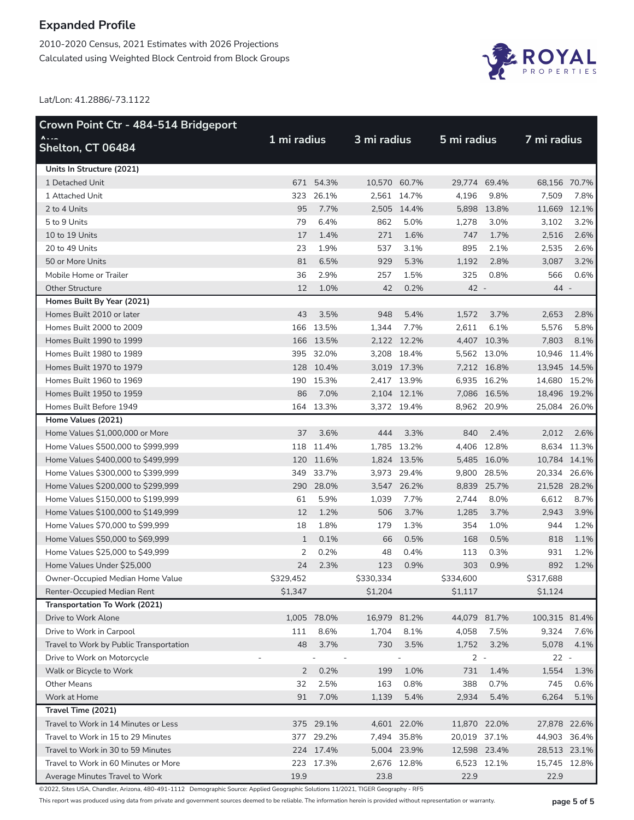2010-2020 Census, 2021 Estimates with 2026 Projections Calculated using Weighted Block Centroid from Block Groups



Lat/Lon: 41.2886/-73.1122

| Crown Point Ctr - 484-514 Bridgeport    |              |             |              |             |              |             |               |             |
|-----------------------------------------|--------------|-------------|--------------|-------------|--------------|-------------|---------------|-------------|
| <b>A</b><br>Shelton, CT 06484           | 1 mi radius  |             |              | 3 mi radius |              | 5 mi radius | 7 mi radius   |             |
| Units In Structure (2021)               |              |             |              |             |              |             |               |             |
| 1 Detached Unit                         |              | 671 54.3%   | 10,570 60.7% |             | 29,774 69.4% |             | 68,156 70.7%  |             |
| 1 Attached Unit                         | 323          | 26.1%       |              | 2,561 14.7% | 4,196        | 9.8%        | 7,509         | 7.8%        |
| 2 to 4 Units                            | 95           | 7.7%        |              | 2,505 14.4% |              | 5,898 13.8% | 11,669 12.1%  |             |
| 5 to 9 Units                            | 79           | 6.4%        | 862          | 5.0%        | 1,278        | 3.0%        | 3,102         | 3.2%        |
| 10 to 19 Units                          | 17           | 1.4%        | 271          | 1.6%        | 747          | 1.7%        | 2,516         | 2.6%        |
| 20 to 49 Units                          | 23           | 1.9%        | 537          | 3.1%        | 895          | 2.1%        | 2,535         | 2.6%        |
| 50 or More Units                        | 81           | 6.5%        | 929          | 5.3%        | 1,192        | 2.8%        | 3,087         | 3.2%        |
| Mobile Home or Trailer                  | 36           | 2.9%        | 257          | 1.5%        | 325          | 0.8%        | 566           | 0.6%        |
| <b>Other Structure</b>                  | 12           | 1.0%        | 42           | 0.2%        | 42 -         |             | 44 -          |             |
| Homes Built By Year (2021)              |              |             |              |             |              |             |               |             |
| Homes Built 2010 or later               | 43           | 3.5%        | 948          | 5.4%        | 1,572        | 3.7%        | 2,653         | 2.8%        |
| Homes Built 2000 to 2009                |              | 166 13.5%   | 1,344        | 7.7%        | 2,611        | 6.1%        | 5,576         | 5.8%        |
| Homes Built 1990 to 1999                |              | 166 13.5%   |              | 2,122 12.2% |              | 4,407 10.3% | 7,803         | 8.1%        |
| Homes Built 1980 to 1989                |              | 395 32.0%   |              | 3,208 18.4% |              | 5,562 13.0% | 10,946 11.4%  |             |
| Homes Built 1970 to 1979                |              | 128 10.4%   |              | 3,019 17.3% |              | 7,212 16.8% | 13,945 14.5%  |             |
| Homes Built 1960 to 1969                |              | 190 15.3%   |              | 2,417 13.9% |              | 6,935 16.2% | 14,680 15.2%  |             |
| Homes Built 1950 to 1959                | 86           | 7.0%        |              | 2,104 12.1% |              | 7,086 16.5% | 18,496 19.2%  |             |
| Homes Built Before 1949                 |              | 164 13.3%   |              | 3,372 19.4% |              | 8,962 20.9% | 25,084 26.0%  |             |
| Home Values (2021)                      |              |             |              |             |              |             |               |             |
| Home Values \$1,000,000 or More         | 37           | 3.6%        | 444          | 3.3%        | 840          | 2.4%        | 2,012         | 2.6%        |
| Home Values \$500,000 to \$999,999      | 118          | 11.4%       |              | 1,785 13.2% |              | 4,406 12.8% |               | 8,634 11.3% |
| Home Values \$400,000 to \$499,999      |              | 120 11.6%   |              | 1,824 13.5% |              | 5,485 16.0% | 10,784 14.1%  |             |
| Home Values \$300,000 to \$399,999      |              | 349 33.7%   |              | 3,973 29.4% |              | 9,800 28.5% | 20,334 26.6%  |             |
| Home Values \$200,000 to \$299,999      |              | 290 28.0%   |              | 3,547 26.2% |              | 8,839 25.7% | 21,528 28.2%  |             |
| Home Values \$150,000 to \$199,999      | 61           | 5.9%        | 1,039        | 7.7%        | 2,744        | 8.0%        | 6,612         | 8.7%        |
| Home Values \$100,000 to \$149,999      | 12           | 1.2%        | 506          | 3.7%        | 1,285        | 3.7%        | 2,943         | 3.9%        |
| Home Values \$70,000 to \$99,999        | 18           | 1.8%        | 179          | 1.3%        | 354          | 1.0%        | 944           | 1.2%        |
| Home Values \$50,000 to \$69,999        | $\mathbf{1}$ | 0.1%        | 66           | 0.5%        | 168          | 0.5%        | 818           | 1.1%        |
| Home Values \$25,000 to \$49,999        | 2            | 0.2%        | 48           | 0.4%        | 113          | 0.3%        | 931           | 1.2%        |
| Home Values Under \$25,000              | 24           | 2.3%        | 123          | 0.9%        | 303          | 0.9%        | 892           | 1.2%        |
| Owner-Occupied Median Home Value        | \$329,452    |             | \$330,334    |             | \$334,600    |             | \$317,688     |             |
| Renter-Occupied Median Rent             | \$1,347      |             | \$1,204      |             | \$1,117      |             | \$1,124       |             |
| Transportation To Work (2021)           |              |             |              |             |              |             |               |             |
| Drive to Work Alone                     |              | 1,005 78.0% | 16,979 81.2% |             | 44,079 81.7% |             | 100,315 81.4% |             |
| Drive to Work in Carpool                | 111          | 8.6%        | 1,704        | 8.1%        | 4,058        | 7.5%        | 9,324         | 7.6%        |
| Travel to Work by Public Transportation | 48           | 3.7%        | 730          | 3.5%        | 1,752        | 3.2%        | 5,078         | 4.1%        |
| Drive to Work on Motorcycle             |              |             |              |             | $2 -$        |             | $22 -$        |             |
| Walk or Bicycle to Work                 | $2^{\circ}$  | 0.2%        | 199          | 1.0%        | 731          | 1.4%        | 1,554         | 1.3%        |
| <b>Other Means</b>                      | 32           | 2.5%        | 163          | 0.8%        | 388          | 0.7%        | 745           | 0.6%        |
| Work at Home                            | 91           | 7.0%        | 1,139        | 5.4%        | 2,934        | 5.4%        | 6,264         | 5.1%        |
| Travel Time (2021)                      |              |             |              |             |              |             |               |             |
| Travel to Work in 14 Minutes or Less    |              | 375 29.1%   |              | 4,601 22.0% | 11,870 22.0% |             | 27,878 22.6%  |             |
| Travel to Work in 15 to 29 Minutes      |              | 377 29.2%   |              | 7,494 35.8% | 20,019 37.1% |             | 44,903 36.4%  |             |
| Travel to Work in 30 to 59 Minutes      |              | 224 17.4%   |              | 5,004 23.9% | 12,598 23.4% |             | 28,513 23.1%  |             |
| Travel to Work in 60 Minutes or More    | 223          | 17.3%       |              |             |              | 6,523 12.1% |               |             |
|                                         |              |             |              | 2,676 12.8% |              |             | 15,745 12.8%  |             |
| Average Minutes Travel to Work          | 19.9         |             | 23.8         |             | 22.9         |             | 22.9          |             |

©2022, Sites USA, Chandler, Arizona, 480-491-1112 Demographic Source: Applied Geographic Solutions 11/2021, TIGER Geography - RF5

This report was produced using data from private and government sources deemed to be reliable. The information herein is provided without representation or warranty. **page 5 of 5**